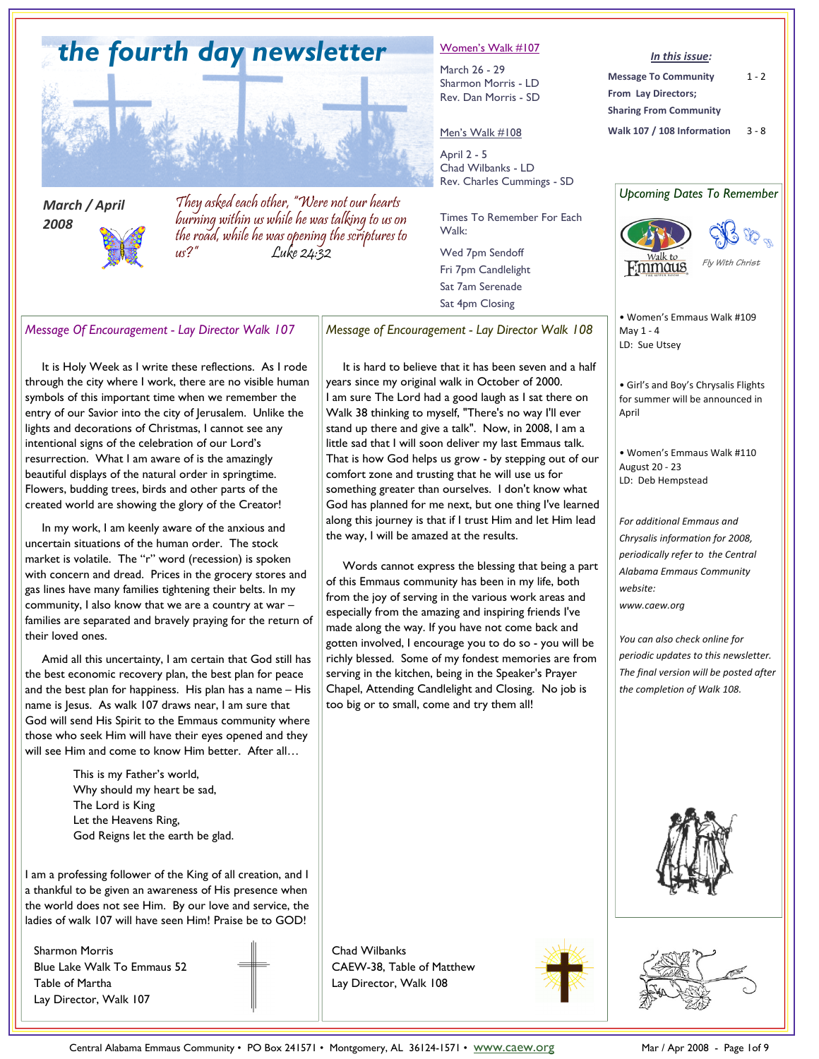

*March / April 2008* 

They asked each other, "Were not our hearts burning within us while he was talking to us on the road, while he was opening the scriptures to us?" Luke 24:32

#### Women's Walk #107

March 26 - 29 Sharmon Morris - LD Rev. Dan Morris - SD

#### Men's Walk #108

April 2 - 5 Chad Wilbanks - LD Rev. Charles Cummings - SD

Times To Remember For Each Walk:

Wed 7pm Sendoff Fri 7pm Candlelight Sat 7am Serenade Sat 4pm Closing

*In this issue:* 

**Message To Community From Lay Directors; Sharing From Community**   $1 - 2$ 





*Message Of Encouragement - Lay Director Walk 107* 

 It is Holy Week as I write these reflections. As I rode through the city where I work, there are no visible human symbols of this important time when we remember the entry of our Savior into the city of Jerusalem. Unlike the lights and decorations of Christmas, I cannot see any intentional signs of the celebration of our Lord's resurrection. What I am aware of is the amazingly beautiful displays of the natural order in springtime. Flowers, budding trees, birds and other parts of the created world are showing the glory of the Creator!

 In my work, I am keenly aware of the anxious and uncertain situations of the human order. The stock market is volatile. The "r" word (recession) is spoken with concern and dread. Prices in the grocery stores and gas lines have many families tightening their belts. In my community, I also know that we are a country at war – families are separated and bravely praying for the return of their loved ones.

 Amid all this uncertainty, I am certain that God still has the best economic recovery plan, the best plan for peace and the best plan for happiness. His plan has a name – His name is Jesus. As walk 107 draws near, I am sure that God will send His Spirit to the Emmaus community where those who seek Him will have their eyes opened and they will see Him and come to know Him better. After all…

> This is my Father's world, Why should my heart be sad, The Lord is King Let the Heavens Ring, God Reigns let the earth be glad.

I am a professing follower of the King of all creation, and I a thankful to be given an awareness of His presence when the world does not see Him. By our love and service, the ladies of walk 107 will have seen Him! Praise be to GOD!

Sharmon Morris Blue Lake Walk To Emmaus 52 Table of Martha Lay Director, Walk 107

*Message of Encouragement - Lay Director Walk 108* 

 It is hard to believe that it has been seven and a half years since my original walk in October of 2000. I am sure The Lord had a good laugh as I sat there on Walk 38 thinking to myself, "There's no way I'll ever stand up there and give a talk". Now, in 2008, I am a little sad that I will soon deliver my last Emmaus talk. That is how God helps us grow - by stepping out of our comfort zone and trusting that he will use us for something greater than ourselves. I don't know what God has planned for me next, but one thing I've learned along this journey is that if I trust Him and let Him lead the way, I will be amazed at the results.

 Words cannot express the blessing that being a part of this Emmaus community has been in my life, both from the joy of serving in the various work areas and especially from the amazing and inspiring friends I've made along the way. If you have not come back and gotten involved, I encourage you to do so - you will be richly blessed. Some of my fondest memories are from serving in the kitchen, being in the Speaker's Prayer Chapel, Attending Candlelight and Closing. No job is too big or to small, come and try them all!

• Women's Emmaus Walk #109 May 1 - 4 LD: Sue Utsey

• Girl's and Boy's Chrysalis Flights for summer will be announced in April

• Women's Emmaus Walk #110 August 20 - 23 LD: Deb Hempstead

*For additional Emmaus and Chrysalis information for 2008, periodically refer to the Central Alabama Emmaus Community website: www.caew.org* 

*You can also check online for periodic updates to this newsletter. The final version will be posted after the completion of Walk 108.* 





Chad Wilbanks CAEW-38, Table of Matthew Lay Director, Walk 108

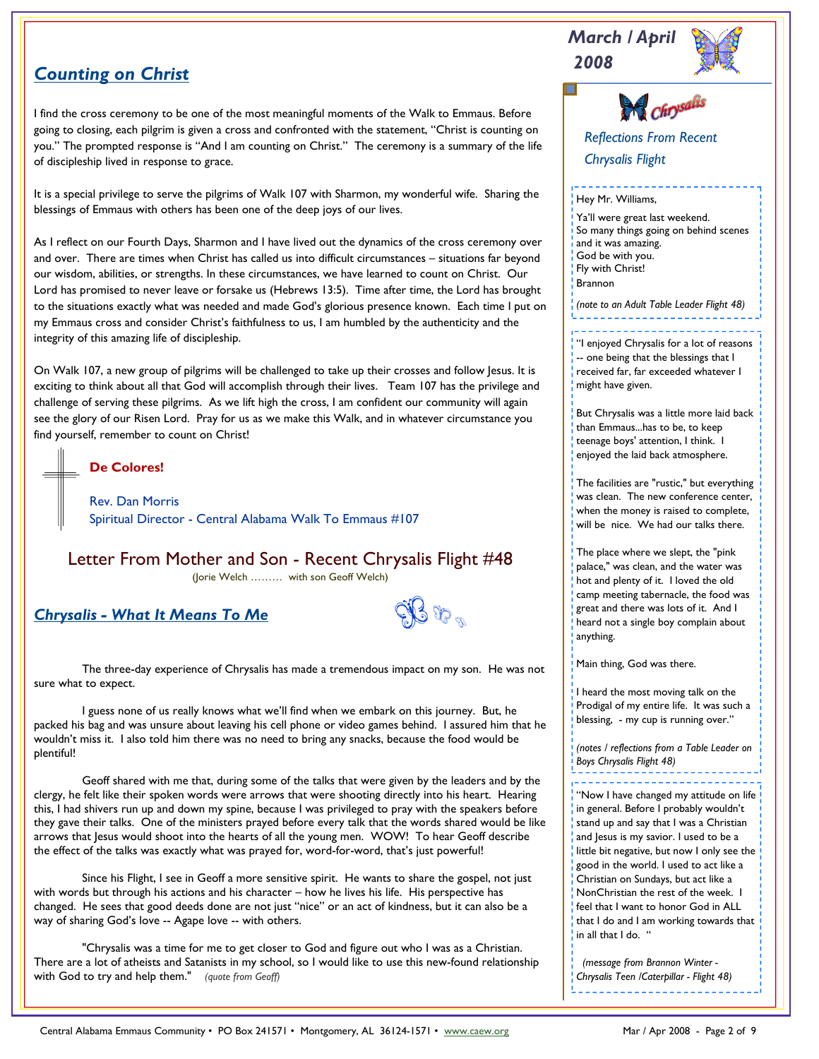# *2008 Counting on Christ*

I find the cross ceremony to be one of the most meaningful moments of the Walk to Emmaus. Before going to closing, each pilgrim is given a cross and confronted with the statement, "Christ is counting on you." The prompted response is "And I am counting on Christ." The ceremony is a summary of the life of discipleship lived in response to grace.

It is a special privilege to serve the pilgrims of Walk 107 with Sharmon, my wonderful wife. Sharing the blessings of Emmaus with others has been one of the deep joys of our lives.

As I reflect on our Fourth Days, Sharmon and I have lived out the dynamics of the cross ceremony over and over. There are times when Christ has called us into difficult circumstances – situations far beyond our wisdom, abilities, or strengths. In these circumstances, we have learned to count on Christ. Our Lord has promised to never leave or forsake us (Hebrews 13:5). Time after time, the Lord has brought to the situations exactly what was needed and made God's glorious presence known. Each time I put on my Emmaus cross and consider Christ's faithfulness to us, I am humbled by the authenticity and the integrity of this amazing life of discipleship.

On Walk 107, a new group of pilgrims will be challenged to take up their crosses and follow lesus. It is exciting to think about all that God will accomplish through their lives. Team 107 has the privilege and challenge of serving these pilgrims. As we lift high the cross, I am confident our community will again see the glory of our Risen Lord. Pray for us as we make this Walk, and in whatever circumstance you find yourself, remember to count on Christ!

**De Colores!** 

Rev. Dan Morris Spiritual Director - Central Alabama Walk To Emmaus #107

Letter From Mother and Son - Recent Chrysalis Flight #48 (Jorie Welch ……… with son Geoff Welch)

*Chrysalis - What It Means To Me*

 $3$  Vp  $_{\rm m}$ 

 The three-day experience of Chrysalis has made a tremendous impact on my son. He was not sure what to expect.

 I guess none of us really knows what we'll find when we embark on this journey. But, he packed his bag and was unsure about leaving his cell phone or video games behind. I assured him that he wouldn't miss it. I also told him there was no need to bring any snacks, because the food would be plentiful!

 Geoff shared with me that, during some of the talks that were given by the leaders and by the clergy, he felt like their spoken words were arrows that were shooting directly into his heart. Hearing this, I had shivers run up and down my spine, because I was privileged to pray with the speakers before they gave their talks. One of the ministers prayed before every talk that the words shared would be like arrows that Jesus would shoot into the hearts of all the young men. WOW! To hear Geoff describe the effect of the talks was exactly what was prayed for, word-for-word, that's just powerful!

 Since his Flight, I see in Geoff a more sensitive spirit. He wants to share the gospel, not just with words but through his actions and his character – how he lives his life. His perspective has changed. He sees that good deeds done are not just "nice" or an act of kindness, but it can also be a way of sharing God's love -- Agape love -- with others.

 "Chrysalis was a time for me to get closer to God and figure out who I was as a Christian. There are a lot of atheists and Satanists in my school, so I would like to use this new-found relationship with God to try and help them." *(quote from Geoff)* 

*Reflections From Recent Chrysalis Flight*  Hey Mr. Williams, Ya'll were great last weekend. So many things going on behind scenes and it was amazing. God be with you. Fly with Christ! Brannon *(note to an Adult Table Leader Flight 48)* 

*March / April* 

<sup>1</sup> "I enjoyed Chrysalis for a lot of reasons -- one being that the blessings that I received far, far exceeded whatever I might have given.

But Chrysalis was a little more laid back than Emmaus...has to be, to keep teenage boys' attention, I think. I enjoyed the laid back atmosphere.

The facilities are "rustic," but everything was clean. The new conference center, when the money is raised to complete, will be nice. We had our talks there.

The place where we slept, the "pink palace," was clean, and the water was hot and plenty of it. I loved the old camp meeting tabernacle, the food was great and there was lots of it. And I heard not a single boy complain about anything.

Main thing, God was there.

I heard the most moving talk on the Prodigal of my entire life. It was such a blessing, - my cup is running over."

*(notes / reflections from a Table Leader on Boys Chrysalis Flight 48)* 

"Now I have changed my attitude on life

in general. Before I probably wouldn't stand up and say that I was a Christian and Jesus is my savior. I used to be a little bit negative, but now I only see the good in the world. I used to act like a Christian on Sundays, but act like a NonChristian the rest of the week. I feel that I want to honor God in ALL that I do and I am working towards that in all that I do. "

 *(message from Brannon Winter - Chrysalis Teen /Caterpillar - Flight 48)*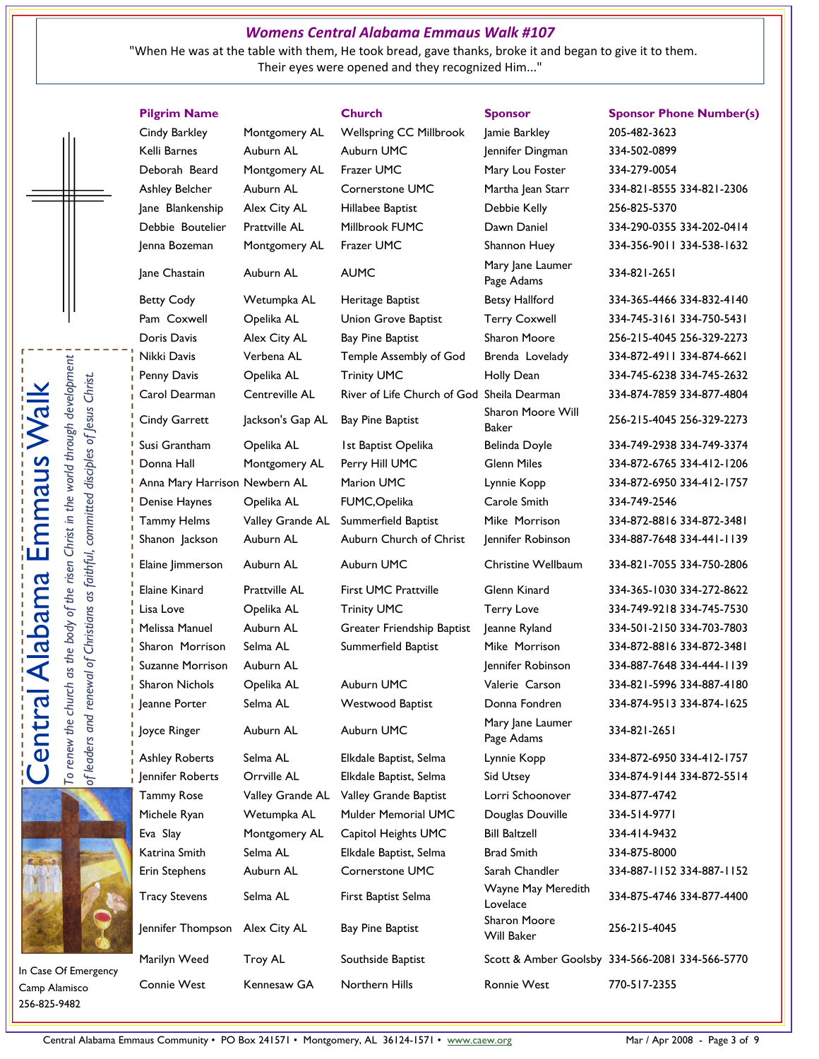#### *Womens Central Alabama Emmaus Walk #107*

 "When He was at the table with them, He took bread, gave thanks, broke it and began to give it to them. Their eyes were opened and they recognized Him..."

**Pilgrim Name Church Sponsor Sponsor Phone Number(s)**  Cindy Barkley Montgomery AL Wellspring CC Millbrook Jamie Barkley 205-482-3623 Kelli Barnes Auburn AL Auburn UMC | ennifer Dingman 334-502-0899 Deborah Beard Montgomery AL Frazer UMC Mary Lou Foster 334-279-0054 Ashley Belcher Auburn AL Cornerstone UMC Martha Jean Starr 334-821-8555 334-821-2306 Jane Blankenship Alex City AL Hillabee Baptist Debbie Kelly 256-825-5370 Debbie Boutelier Prattville AL Millbrook FUMC Dawn Daniel 334-290-0355 334-202-0414 Jenna Bozeman Montgomery AL Frazer UMC Shannon Huey 334-356-9011 334-538-1632 Jane Chastain Auburn AL AUMC Mary Jane Laumer Betty Cody **Wetumpka AL** Heritage Baptist **Betsy Hallford** 334-365-4466 334-832-4140 Pam Coxwell Cpelika AL Union Grove Baptist Terry Coxwell 334-745-3161 334-750-5431 Doris Davis Alex City AL Bay Pine Baptist Sharon Moore 256-215-4045 256-329-2273 Nikki Davis Verbena AL Temple Assembly of God Brenda Lovelady 334-872-4911 334-874-6621 Penny Davis Chelika AL Trinity UMC Holly Dean 334-745-6238 334-745-2632 Carol Dearman Centreville AL River of Life Church of God Sheila Dearman 334-874-7859 334-877-4804 Cindy Garrett Jackson's Gap AL Bay Pine Baptist Sharon Moore Will Susi Grantham Opelika AL 1st Baptist Opelika Belinda Doyle 334-749-2938 334-749-3374 Donna Hall Montgomery AL Perry Hill UMC Glenn Miles 334-872-6765 334-412-1206 Anna Mary Harrison Newbern AL Marion UMC Lynnie Kopp 334-872-6950 334-412-1757 Denise Haynes Opelika AL FUMC,Opelika Carole Smith 334-749-2546 Tammy Helms Valley Grande AL Summerfield Baptist Mike Morrison 334-872-8816 334-872-3481 Shanon Jackson Auburn AL Auburn Church of Christ Jennifer Robinson 334-887-7648 334-441-1139 Elaine Jimmerson Auburn AL Auburn UMC Christine Wellbaum 334-821-7055 334-750-2806 Elaine Kinard Prattville AL First UMC Prattville Glenn Kinard 334-365-1030 334-272-8622 Lisa Love Opelika AL Trinity UMC Terry Love 334-749-9218 334-745-7530 Melissa Manuel Auburn AL Greater Friendship Baptist Jeanne Ryland 334-501-2150 334-703-7803 Sharon Morrison Selma AL Summerfield Baptist Mike Morrison 334-872-8816 334-872-3481 Suzanne Morrison Auburn AL Jennifer Robinson 334-887-7648 334-444-1139 Sharon Nichols Opelika AL Auburn UMC Valerie Carson 334-821-5996 334-887-4180 Jeanne Porter Selma AL Westwood Baptist Donna Fondren 334-874-9513 334-874-1625 Joyce Ringer Auburn AL Auburn UMC Mary Jane Laumer Ashley Roberts Selma AL Elkdale Baptist, Selma Lynnie Kopp 334-872-6950 334-412-1757 Jennifer Roberts Orrville AL Elkdale Baptist, Selma Sid Utsey 334-874-9144 334-872-5514 Tammy Rose Valley Grande AL Valley Grande Baptist Lorri Schoonover 334-877-4742 Michele Ryan Wetumpka AL Mulder Memorial UMC Douglas Douville 334-514-9771 Eva Slay Montgomery AL Capitol Heights UMC Bill Baltzell 334-414-9432 Katrina Smith Selma AL Elkdale Baptist, Selma Brad Smith 334-875-8000 Erin Stephens Auburn AL Cornerstone UMC Sarah Chandler 334-887-1152 334-887-1152 Tracy Stevens Selma AL First Baptist Selma Wayne May Meredith<br>Lovelace Jennifer Thompson Alex City AL Bay Pine Baptist Sharon Moore<br>Will Baker Marilyn Weed Troy AL Southside Baptist Scott & Amber Goolsby 334-566-2081 334-566-5770 Connie West Kennesaw GA Northern Hills Ronnie West 770-517-2355

Page Adams 334-821-2651 Page Adams 334-821-2651

Baker 256-215-4045 256-329-2273

In Case Of Emergency Camp Alamisco 256-825-9482

Lovelace 334-875-4746 334-877-4400

Will Baker 256-215-4045



To renew the church as the body of the risen Christ in the world through development To renew the church as the body of the risen Christ in the world through developmen *of leaders and renewal of Christians as faithful, committed disciples of Jesus Christ.*  Central Alabama Emmaus Walk of leaders and renewal of Christians as faithful, committed disciples of Jesus Christ Emmaus

**Alabama** 

 $\overline{\overline{0}}$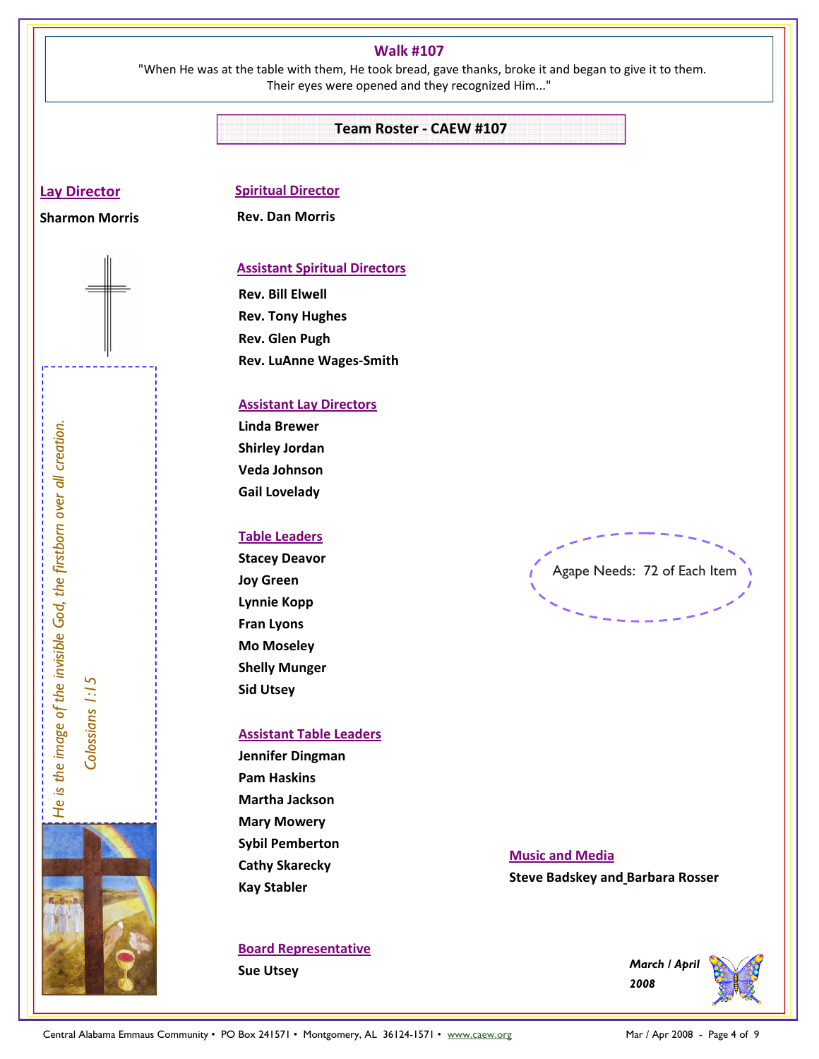#### **Walk #107**

 "When He was at the table with them, He took bread, gave thanks, broke it and began to give it to them. Their eyes were opened and they recognized Him..."

#### **Team Roster - CAEW #107**

#### **Lay Director**

## **Sharmon Morris**

### **Spiritual Director Rev. Dan Morris**

#### **Assistant Spiritual Directors**

**Rev. Bill Elwell Rev. Tony Hughes Rev. Glen Pugh Rev. LuAnne Wages-Smith** 

#### **Assistant Lay Directors**

**Linda Brewer Shirley Jordan Veda Johnson Gail Lovelady** 

#### **Table Leaders**

**Stacey Deavor Joy Green Lynnie Kopp Fran Lyons Mo Moseley Shelly Munger Sid Utsey** 

#### **Assistant Table Leaders**

**Jennifer Dingman Pam Haskins Martha Jackson Mary Mowery Sybil Pemberton Cathy Skarecky Kay Stabler**  Linda Brewer<br>
Shirley of Shirley Johannon<br>
Verda Johannon<br>
Verda Mar Verda<br>
Community Forem<br>
Mar of December 1998<br>
Shirley Trans Linda Brewer<br>
Shirley Shirley<br>
Shirley March 2008<br>
Shirley Shirley<br>
Shirley March 2008 - Page

### **Board Representative**

**Sue Utsey** 

Agape Needs: 72 of Each Item

#### **Music and Media**

**Steve Badskey and Barbara Rosser** 

*March / April 2008* 

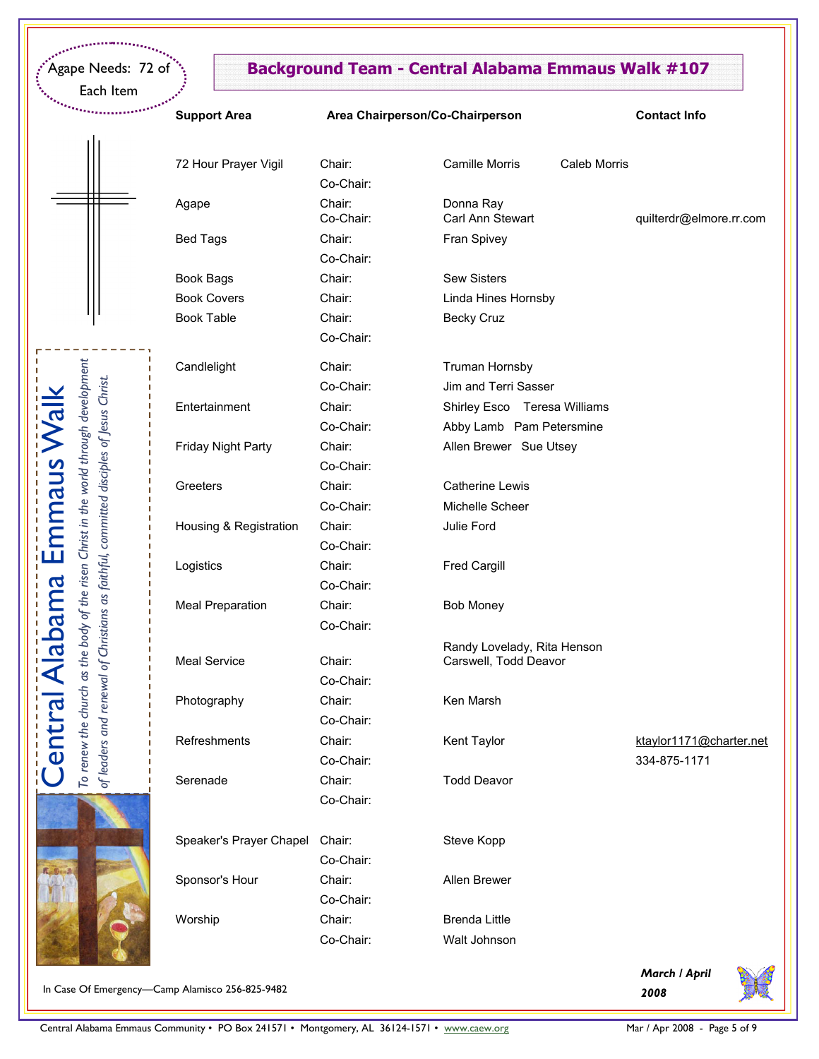Each Item

Central Alabama Emmaus Walk

**Central Alabama Emmaus** 

To renew the church as the body of the risen Christ in the world through development

To renew the church as the body of the risen Christ in the world through development

## Agape Needs: 72 of **Background Team - Central Alabama Emmaus Walk #107**

|  | <b>Տupport Area</b> |  |
|--|---------------------|--|

#### **Support Area Area Chairperson/Co-Chairperson Contact Info**

|                                                                             | 72 Hour Prayer Vigil    | Chair:              | <b>Camille Morris</b>         | Caleb Morris |                         |
|-----------------------------------------------------------------------------|-------------------------|---------------------|-------------------------------|--------------|-------------------------|
|                                                                             |                         | Co-Chair:           |                               |              |                         |
|                                                                             | Agape                   | Chair:<br>Co-Chair: | Donna Ray<br>Carl Ann Stewart |              | quilterdr@elmore.rr.com |
|                                                                             | <b>Bed Tags</b>         | Chair:              | Fran Spivey                   |              |                         |
|                                                                             |                         | Co-Chair:           |                               |              |                         |
|                                                                             | <b>Book Bags</b>        | Chair:              | <b>Sew Sisters</b>            |              |                         |
|                                                                             | <b>Book Covers</b>      | Chair:              | Linda Hines Hornsby           |              |                         |
|                                                                             | <b>Book Table</b>       | Chair:              | <b>Becky Cruz</b>             |              |                         |
|                                                                             |                         | Co-Chair:           |                               |              |                         |
|                                                                             | Candlelight             | Chair:              | <b>Truman Hornsby</b>         |              |                         |
|                                                                             |                         | Co-Chair:           | Jim and Terri Sasser          |              |                         |
| and renewal of Christians as faithful, committed disciples of Jesus Christ. | Entertainment           | Chair:              | Shirley Esco Teresa Williams  |              |                         |
|                                                                             |                         | Co-Chair:           | Abby Lamb Pam Petersmine      |              |                         |
|                                                                             | Friday Night Party      | Chair:              | Allen Brewer Sue Utsey        |              |                         |
|                                                                             |                         |                     |                               |              |                         |
|                                                                             |                         | Co-Chair:           |                               |              |                         |
|                                                                             | Greeters                | Chair:              | <b>Catherine Lewis</b>        |              |                         |
|                                                                             |                         | Co-Chair:           | Michelle Scheer               |              |                         |
|                                                                             | Housing & Registration  | Chair:              | Julie Ford                    |              |                         |
|                                                                             |                         | Co-Chair:           |                               |              |                         |
|                                                                             | Logistics               | Chair:              | <b>Fred Cargill</b>           |              |                         |
|                                                                             |                         | Co-Chair:           |                               |              |                         |
|                                                                             | <b>Meal Preparation</b> | Chair:              | <b>Bob Money</b>              |              |                         |
|                                                                             |                         | Co-Chair:           |                               |              |                         |
|                                                                             |                         |                     | Randy Lovelady, Rita Henson   |              |                         |
|                                                                             | <b>Meal Service</b>     | Chair:              | Carswell, Todd Deavor         |              |                         |
|                                                                             |                         | Co-Chair:           |                               |              |                         |
|                                                                             | Photography             | Chair:              | Ken Marsh                     |              |                         |
|                                                                             |                         | Co-Chair:           |                               |              |                         |
|                                                                             | Refreshments            | Chair:              | Kent Taylor                   |              | ktaylor1171@charter.net |
|                                                                             |                         | Co-Chair:           |                               |              | 334-875-1171            |
| of leaders                                                                  | Serenade                | Chair:              | <b>Todd Deavor</b>            |              |                         |
|                                                                             |                         | Co-Chair:           |                               |              |                         |
|                                                                             |                         |                     |                               |              |                         |
|                                                                             | Speaker's Prayer Chapel | Chair:              | Steve Kopp                    |              |                         |
|                                                                             |                         | Co-Chair:           |                               |              |                         |
|                                                                             | Sponsor's Hour          | Chair:              | Allen Brewer                  |              |                         |
|                                                                             |                         | Co-Chair:           |                               |              |                         |
|                                                                             | Worship                 | Chair:              | <b>Brenda Little</b>          |              |                         |
|                                                                             |                         | Co-Chair:           | Walt Johnson                  |              |                         |
|                                                                             |                         |                     |                               |              |                         |

*March / April 2008* 



In Case Of Emergency—Camp Alamisco 256-825-9482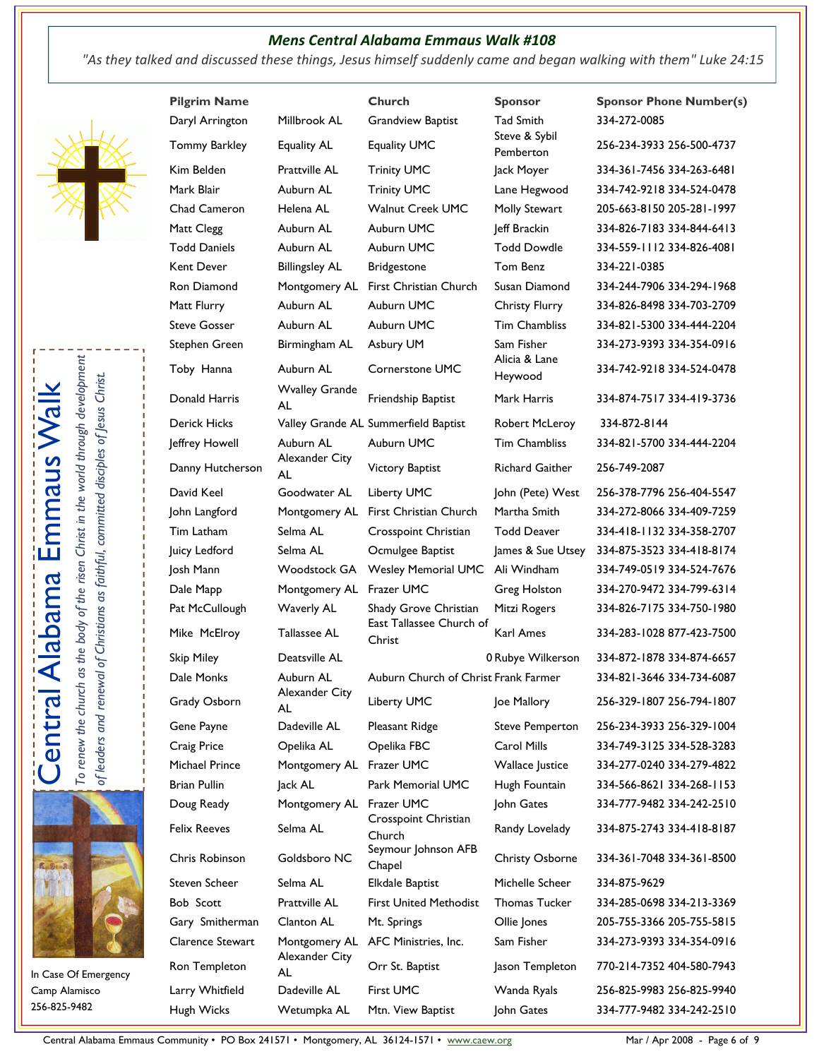### *Mens Central Alabama Emmaus Walk #108*

*"As they talked and discussed these things, Jesus himself suddenly came and began walking with them" Luke 24:15*







In Case Of Emergency Camp Alamisco 256-825-9482

| <b>Pilgrim Name</b> |                             | Church                               | <b>Sponsor</b>             | <b>Sponsor Phone Number(s)</b> |
|---------------------|-----------------------------|--------------------------------------|----------------------------|--------------------------------|
| Daryl Arrington     | Millbrook AL                | <b>Grandview Baptist</b>             | <b>Tad Smith</b>           | 334-272-0085                   |
| Tommy Barkley       | <b>Equality AL</b>          | Equality UMC                         | Steve & Sybil<br>Pemberton | 256-234-3933 256-500-4737      |
| Kim Belden          | <b>Prattville AL</b>        | <b>Trinity UMC</b>                   | Jack Moyer                 | 334-361-7456 334-263-6481      |
| Mark Blair          | Auburn AL                   | <b>Trinity UMC</b>                   | Lane Hegwood               | 334-742-9218 334-524-0478      |
| Chad Cameron        | Helena AL                   | <b>Walnut Creek UMC</b>              | Molly Stewart              | 205-663-8150 205-281-1997      |
| Matt Clegg          | Auburn AL                   | Auburn UMC                           | Jeff Brackin               | 334-826-7183 334-844-6413      |
| <b>Todd Daniels</b> | Auburn AL                   | Auburn UMC                           | <b>Todd Dowdle</b>         | 334-559-1112 334-826-4081      |
| <b>Kent Dever</b>   | <b>Billingsley AL</b>       | <b>Bridgestone</b>                   | Tom Benz                   | 334-221-0385                   |
| Ron Diamond         | Montgomery AL               | First Christian Church               | Susan Diamond              | 334-244-7906 334-294-1968      |
| Matt Flurry         | Auburn AL                   | Auburn UMC                           | <b>Christy Flurry</b>      | 334-826-8498 334-703-2709      |
| <b>Steve Gosser</b> | Auburn AL                   | Auburn UMC                           | <b>Tim Chambliss</b>       | 334-821-5300 334-444-2204      |
| Stephen Green       | Birmingham AL               | Asbury UM                            | Sam Fisher                 | 334-273-9393 334-354-0916      |
| Toby Hanna          | Auburn AL                   | Cornerstone UMC                      | Alicia & Lane<br>Heywood   | 334-742-9218 334-524-0478      |
| Donald Harris       | <b>Wyalley Grande</b><br>AL | Friendship Baptist                   | Mark Harris                | 334-874-7517 334-419-3736      |
| <b>Derick Hicks</b> |                             | Valley Grande AL Summerfield Baptist | <b>Robert McLeroy</b>      | 334-872-8144                   |
| Jeffrey Howell      | Auburn AL<br>Alexander City | Auburn UMC                           | <b>Tim Chambliss</b>       | 334-821-5700 334-444-2204      |
| Danny Hutcherson    | AL                          | Victory Baptist                      | <b>Richard Gaither</b>     | 256-749-2087                   |
| David Keel          | Goodwater AL                | Liberty UMC                          | John (Pete) West           | 256-378-7796 256-404-5547      |
| John Langford       | Montgomery AL               | First Christian Church               | Martha Smith               | 334-272-8066 334-409-7259      |
| Tim Latham          | Selma AL                    | Crosspoint Christian                 | <b>Todd Deaver</b>         | 334-418-1132 334-358-2707      |
| Juicy Ledford       | Selma AL                    | Ocmulgee Baptist                     | James & Sue Utsey          | 334-875-3523 334-418-8174      |
| Josh Mann           | Woodstock GA                | Wesley Memorial UMC Ali Windham      |                            | 334-749-0519 334-524-7676      |
| Dale Mapp           | Montgomery AL               | Frazer UMC                           | <b>Greg Holston</b>        | 334-270-9472 334-799-6314      |
| Pat McCullough      | Waverly AL                  | Shady Grove Christian                | Mitzi Rogers               | 334-826-7175 334-750-1980      |
| Mike McElroy        | Tallassee AL                | East Tallassee Church of<br>Christ   | Karl Ames                  | 334-283-1028 877-423-7500      |
| <b>Skip Miley</b>   | Deatsville AL               |                                      | 0 Rubye Wilkerson          | 334-872-1878 334-874-6657      |
| Dale Monks          | Auburn AL                   | Auburn Church of Christ Frank Farmer |                            | 334-821-3646 334-734-6087      |
| Grady Osborn        | Alexander City<br>AL        | Liberty UMC                          | Joe Mallory                | 256-329-1807 256-794-1807      |
| Gene Payne          | Dadeville AL                | Pleasant Ridge                       | <b>Steve Pemperton</b>     | 256-234-3933 256-329-1004      |
| Craig Price         | Opelika AL                  | Opelika FBC                          | Carol Mills                | 334-749-3125 334-528-3283      |
| Michael Prince      | Montgomery AL Frazer UMC    |                                      | <b>Wallace Justice</b>     | 334-277-0240 334-279-4822      |
| <b>Brian Pullin</b> | Jack AL                     | Park Memorial UMC                    | Hugh Fountain              | 334-566-8621 334-268-1153      |
| Doug Ready          | Montgomery AL Frazer UMC    | Crosspoint Christian                 | John Gates                 | 334-777-9482 334-242-2510      |
| <b>Felix Reeves</b> | Selma AL                    | Church                               | Randy Lovelady             | 334-875-2743 334-418-8187      |
| Chris Robinson      | Goldsboro NC                | Seymour Johnson AFB<br>Chapel        | <b>Christy Osborne</b>     | 334-361-7048 334-361-8500      |
| Steven Scheer       | Selma AL                    | Elkdale Baptist                      | Michelle Scheer            | 334-875-9629                   |
| Bob Scott           | <b>Prattville AL</b>        | <b>First United Methodist</b>        | <b>Thomas Tucker</b>       | 334-285-0698 334-213-3369      |
| Gary Smitherman     | Clanton AL                  | Mt. Springs                          | Ollie Jones                | 205-755-3366 205-755-5815      |
| Clarence Stewart    | Montgomery AL               | AFC Ministries, Inc.                 | Sam Fisher                 | 334-273-9393 334-354-0916      |
| Ron Templeton       | Alexander City<br>AL        | Orr St. Baptist                      | Jason Templeton            | 770-214-7352 404-580-7943      |
| Larry Whitfield     | Dadeville AL                | First UMC                            | Wanda Ryals                | 256-825-9983 256-825-9940      |
| Hugh Wicks          | Wetumpka AL                 | Mtn. View Baptist                    | John Gates                 | 334-777-9482 334-242-2510      |

Central Alabama Emmaus Community • PO Box 241571 • Montgomery, AL 36124-1571 • www.caew.org Mar / Apr 2008 - Page 6 of 9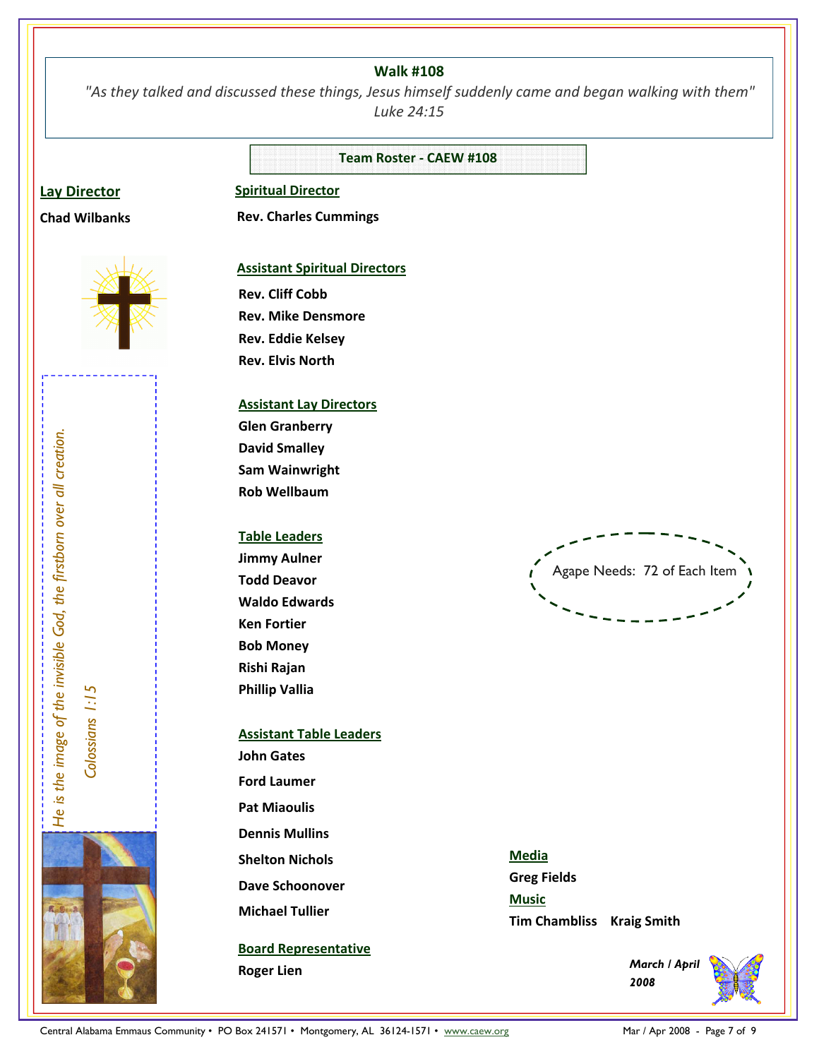#### **Walk #108**

 *"As they talked and discussed these things, Jesus himself suddenly came and began walking with them" Luke 24:15*

**Team Roster - CAEW #108** 

#### **Lay Director**

**Chad Wilbanks**

# **Spiritual Director**

 **Rev. Charles Cummings** 



#### **Assistant Spiritual Directors**

**Rev. Cliff Cobb Rev. Mike Densmore Rev. Eddie Kelsey Rev. Elvis North** 

### **Assistant Lay Directors**

**Glen Granberry David Smalley Sam Wainwright Rob Wellbaum** 

#### **Table Leaders**

**Jimmy Aulner Todd Deavor Waldo Edwards Ken Fortier Bob Money Rishi Rajan Phillip Vallia** 

### **Assistant Table Leaders John Gates Ford Laumer**

**Pat Miaoulis** 

**Dennis Mullins** 

**Shelton Nichols** 

**Dave Schoonover** 

**Michael Tullier**

# **Board Representative**

**Roger Lien** 

Agape Needs: 72 of Each Item Central Alabam Emmanus Community • PO Box 241571 • Montgomery, AL 36124-1571 • www.caew.org Mar / Apr 2008 - Page 7 of 9 **He is the image of the invisible God, the invisible God, the first blue God, the first blue God, the** 

**Media Greg Fields Music Tim Chambliss Kraig Smith**

> *March / April 2008*

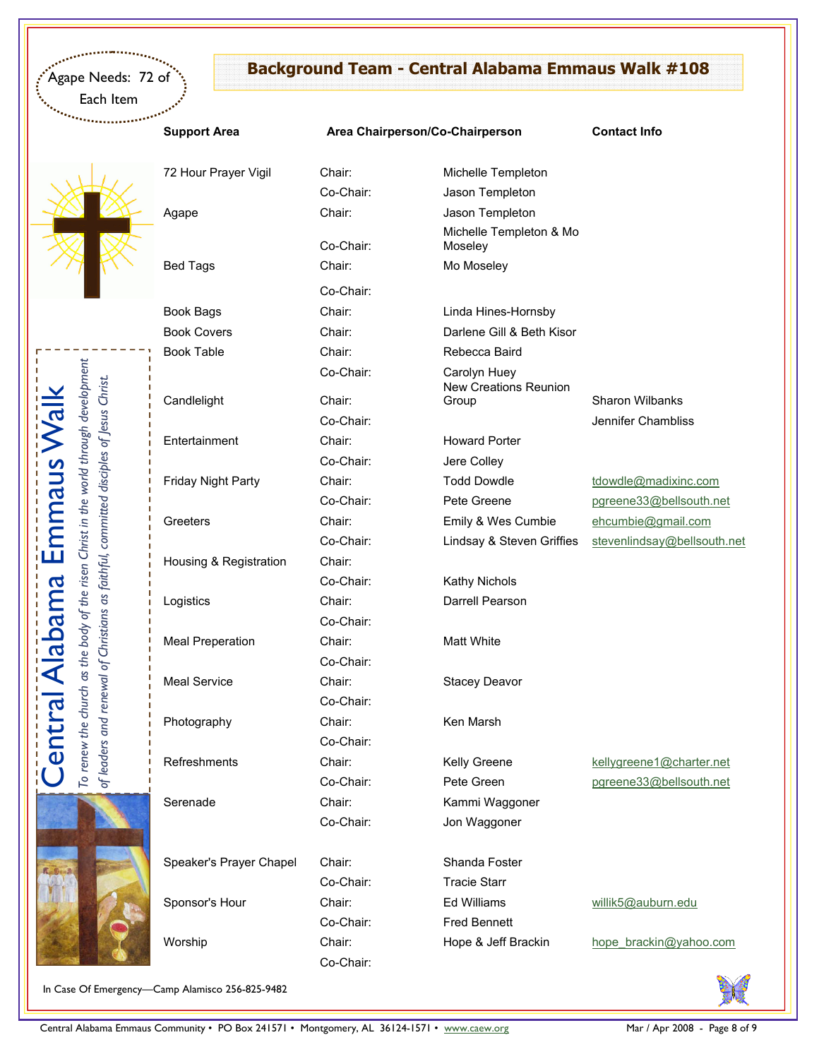Each Item

# **Background Team - Central Alabama Emmaus Walk #108**

## Support Area **Area Chairperson/Co-Chairperson** Contact Info

72 Hour Prayer Vigil Chair:

Co-Chair:

Co-Chair:

Central Alabama Emmaus Walk

entral

Alabama Emmaus

To renew the church as the body of the risen Christ in the world through development *of leaders and renewal of Christians as faithful, committed disciples of Jesus Christ.* 

To renew the church as the body of the risen Christ in the world through development of leaders and renewal of Christians as faithful, committed disciples of Jesus Christ.

Speaker's Prayer Chapel Chair: Shanda Foster Sponsor's Hour Chair: Chair: Ed Williams willik5@auburn.edu

Co-Chair:

| 72 Hour Prayer Vigil      | Chair:    | Michelle Templeton                           |                             |
|---------------------------|-----------|----------------------------------------------|-----------------------------|
|                           | Co-Chair: | Jason Templeton                              |                             |
| Agape                     | Chair:    | Jason Templeton                              |                             |
|                           | Co-Chair: | Michelle Templeton & Mo<br>Moseley           |                             |
| <b>Bed Tags</b>           | Chair:    | Mo Moseley                                   |                             |
|                           | Co-Chair: |                                              |                             |
| Book Bags                 | Chair:    | Linda Hines-Hornsby                          |                             |
| <b>Book Covers</b>        | Chair:    | Darlene Gill & Beth Kisor                    |                             |
| <b>Book Table</b>         | Chair:    | Rebecca Baird                                |                             |
|                           | Co-Chair: | Carolyn Huey<br><b>New Creations Reunion</b> |                             |
| Candlelight               | Chair:    | Group                                        | <b>Sharon Wilbanks</b>      |
|                           | Co-Chair: |                                              | Jennifer Chambliss          |
| Entertainment             | Chair:    | <b>Howard Porter</b>                         |                             |
|                           | Co-Chair: | Jere Colley                                  |                             |
| <b>Friday Night Party</b> | Chair:    | <b>Todd Dowdle</b>                           | tdowdle@madixinc.com        |
|                           | Co-Chair: | Pete Greene                                  | pgreene33@bellsouth.net     |
| Greeters                  | Chair:    | Emily & Wes Cumbie                           | ehcumbie@gmail.com          |
|                           | Co-Chair: | Lindsay & Steven Griffies                    | stevenlindsay@bellsouth.net |
| Housing & Registration    | Chair:    |                                              |                             |
|                           | Co-Chair: | <b>Kathy Nichols</b>                         |                             |
| Logistics                 | Chair:    | Darrell Pearson                              |                             |
|                           | Co-Chair: |                                              |                             |
| <b>Meal Preperation</b>   | Chair:    | <b>Matt White</b>                            |                             |
|                           | Co-Chair: |                                              |                             |
| <b>Meal Service</b>       | Chair:    | <b>Stacey Deavor</b>                         |                             |
|                           |           |                                              |                             |

Photography Chair: Ken Marsh

Serenade Chair: Chair: Kammi Waggoner Co-Chair: Jon Waggoner

> Co-Chair: Tracie Starr Co-Chair: Fred Bennett

Refreshments Chair: Chair: Kelly Greene kellygreene1@charter.net Co-Chair: Pete Green pgreene33@bellsouth.net

Worship Chair: Chair: Hope & Jeff Brackin hope brackin@yahoo.com



In Case Of Emergency—Camp Alamisco 256-825-9482